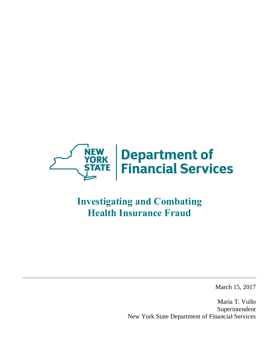

# **Investigating and Combating Health Insurance Fraud**

March 15, 2017

 Maria T. Vullo New York State Department of Financial Services Superintendent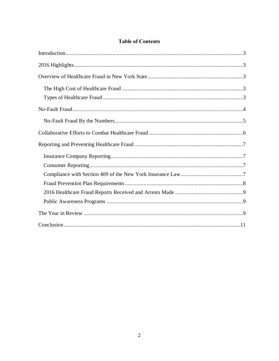# **Table of Contents**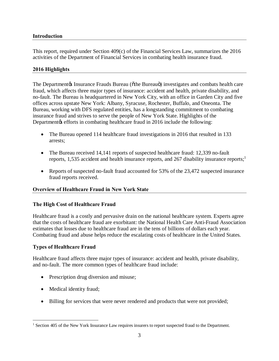## <span id="page-2-0"></span>**Introduction**

 This report, required under Section 409(c) of the Financial Services Law, summarizes the 2016 activities of the Department of Financial Services in combating health insurance fraud.

## **2016 Highlights**

The Department & Insurance Frauds Bureau (othe Bureauo) investigates and combats health care fraud, which affects three major types of insurance: accident and health, private disability, and no-fault. The Bureau is headquartered in New York City, with an office in Garden City and five offices across upstate New York: Albany, Syracuse, Rochester, Buffalo, and Oneonta. The Bureau, working with DFS regulated entities, has a longstanding commitment to combating insurance fraud and strives to serve the people of New York State. Highlights of the Department ts efforts in combating healthcare fraud in 2016 include the following:

- The Bureau opened 114 healthcare fraud investigations in 2016 that resulted in 133 arrests;
- The Bureau received 14,141 reports of suspected healthcare fraud: 12,339 no-fault reports, 1,535 accident and health insurance reports, and 267 disability insurance reports;<sup>1</sup>
- • Reports of suspected no-fault fraud accounted for 53% of the 23,472 suspected insurance fraud reports received.

## **Overview of Healthcare Fraud in New York State**

## **The High Cost of Healthcare Fraud**

 Healthcare fraud is a costly and pervasive drain on the national healthcare system. Experts agree that the costs of healthcare fraud are exorbitant: the National Health Care Anti-Fraud Association estimates that losses due to healthcare fraud are in the tens of billions of dollars each year. Combating fraud and abuse helps reduce the escalating costs of healthcare in the United States.

## **Types of Healthcare Fraud**

 Healthcare fraud affects three major types of insurance: accident and health, private disability, and no-fault. The more common types of healthcare fraud include:

- Prescription drug diversion and misuse;
- Medical identity fraud;

1

• Billing for services that were never rendered and products that were not provided;

 $<sup>1</sup>$  Section 405 of the New York Insurance Law requires insurers to report suspected fraud to the Department.</sup>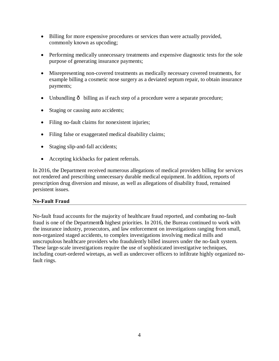- <span id="page-3-0"></span> • Billing for more expensive procedures or services than were actually provided, commonly known as upcoding;
- • Performing medically unnecessary treatments and expensive diagnostic tests for the sole purpose of generating insurance payments;
- • Misrepresenting non-covered treatments as medically necessary covered treatments, for example billing a cosmetic nose surgery as a deviated septum repair, to obtain insurance payments;
- Unbundling  $\delta$  billing as if each step of a procedure were a separate procedure;
- Staging or causing auto accidents;
- Filing no-fault claims for nonexistent injuries;
- Filing false or exaggerated medical disability claims;
- Staging slip-and-fall accidents;
- Accepting kickbacks for patient referrals.

 In 2016, the Department received numerous allegations of medical providers billing for services not rendered and prescribing unnecessary durable medical equipment. In addition, reports of prescription drug diversion and misuse, as well as allegations of disability fraud, remained persistent issues.

## **No-Fault Fraud**

 No-fault fraud accounts for the majority of healthcare fraud reported, and combating no-fault fraud is one of the Department t highest priorities. In 2016, the Bureau continued to work with the insurance industry, prosecutors, and law enforcement on investigations ranging from small, non-organized staged accidents, to complex investigations involving medical mills and unscrupulous healthcare providers who fraudulently billed insurers under the no-fault system. including court-ordered wiretaps, as well as undercover officers to infiltrate highly organized no- fault rings. These large-scale investigations require the use of sophisticated investigative techniques,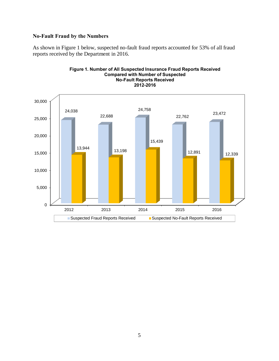## <span id="page-4-0"></span> **No-Fault Fraud by the Numbers**

 As shown in Figure 1 below, suspected no-fault fraud reports accounted for 53% of all fraud reports received by the Department in 2016.



## **Figure 1. Number of All Suspected Insurance Fraud Reports Received Compared with Number of Suspected No-Fault Reports Received**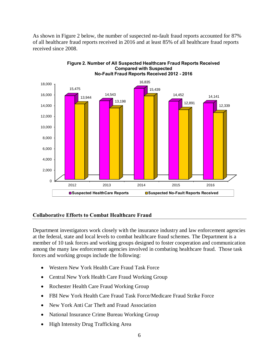<span id="page-5-0"></span> As shown in Figure 2 below, the number of suspected no-fault fraud reports accounted for 87% of all healthcare fraud reports received in 2016 and at least 85% of all healthcare fraud reports received since 2008.



#### **Figure 2. Number of All Suspected Healthcare Fraud Reports Received Compared with Suspected No-Fault Fraud Reports Received 2012 - 2016**

## **Collaborative Efforts to Combat Healthcare Fraud**

 Department investigators work closely with the insurance industry and law enforcement agencies at the federal, state and local levels to combat healthcare fraud schemes. The Department is a member of 10 task forces and working groups designed to foster cooperation and communication among the many law enforcement agencies involved in combating healthcare fraud. Those task forces and working groups include the following:

- Western New York Health Care Fraud Task Force
- Central New York Health Care Fraud Working Group
- Rochester Health Care Fraud Working Group
- FBI New York Health Care Fraud Task Force/Medicare Fraud Strike Force
- New York Anti Car Theft and Fraud Association
- National Insurance Crime Bureau Working Group
- High Intensity Drug Trafficking Area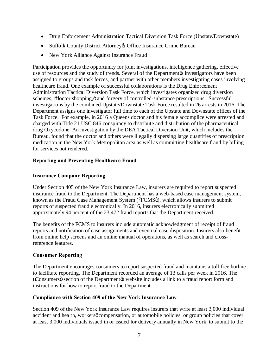- <span id="page-6-0"></span>• Drug Enforcement Administration Tactical Diversion Task Force (Upstate/Downstate)
- Suffolk County District Attorney & Office Insurance Crime Bureau
- New York Alliance Against Insurance Fraud

 Participation provides the opportunity for joint investigations, intelligence gathering, effective use of resources and the study of trends. Several of the Department investigators have been assigned to groups and task forces, and partner with other members investigating cases involving healthcare fraud. One example of successful collaborations is the Drug Enforcement Administration Tactical Diversion Task Force, which investigates organized drug diversion schemes, õdoctor shopping, ö and forgery of controlled-substance prescriptions. Successful investigations by the combined Upstate/Downstate Task Force resulted in 26 arrests in 2016. The Department assigns one investigator full time to each of the Upstate and Downstate offices of the Task Force. For example, in 2016 a Queens doctor and his female accomplice were arrested and charged with Title 21 USC 846 conspiracy to distribute and distribution of the pharmaceutical drug Oxycodone. An investigation by the DEA Tactical Diversion Unit, which includes the Bureau, found that the doctor and others were illegally dispersing large quantities of prescription medication in the New York Metropolitan area as well as committing healthcare fraud by billing for services not rendered.

## **Reporting and Preventing Healthcare Fraud**

## **Insurance Company Reporting**

 Under Section 405 of the New York Insurance Law, insurers are required to report suspected insurance fraud to the Department. The Department has a web-based case management system, known as the Fraud Case Management System (õFCMSö), which allows insurers to submit reports of suspected fraud electronically. In 2016, insurers electronically submitted approximately 94 percent of the 23,472 fraud reports that the Department received.

 The benefits of the FCMS to insurers include automatic acknowledgment of receipt of fraud reports and notification of case assignments and eventual case disposition. Insurers also benefit from online help screens and an online manual of operations, as well as search and cross-reference features.

## **Consumer Reporting**

 The Department encourages consumers to report suspected fraud and maintains a toll-free hotline to facilitate reporting. The Department recorded an average of 13 calls per week in 2016. The  $\tilde{C}$ Consumersö section of the Department $\alpha$  website includes a link to a fraud report form and instructions for how to report fraud to the Department.

## **Compliance with Section 409 of the New York Insurance Law**

 Section 409 of the New York Insurance Law requires insurers that write at least 3,000 individual accident and health, workersø compensation, or automobile policies, or group policies that cover at least 3,000 individuals issued in or issued for delivery annually in New York, to submit to the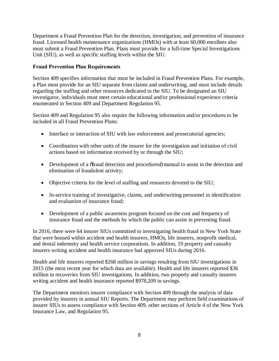<span id="page-7-0"></span> Department a Fraud Prevention Plan for the detection, investigation, and prevention of insurance fraud. Licensed health maintenance organizations (HMOs) with at least 60,000 enrollees also must submit a Fraud Prevention Plan. Plans must provide for a full-time Special Investigations Unit (SIU), as well as specific staffing levels within the SIU.

## **Fraud Prevention Plan Requirements**

 Section 409 specifies information that must be included in Fraud Prevention Plans. For example, a Plan must provide for an SIU separate from claims and underwriting, and must include details regarding the staffing and other resources dedicated to the SIU. To be designated an SIU investigator, individuals must meet certain educational and/or professional experience criteria enumerated in Section 409 and Department Regulation 95.

 Section 409 and Regulation 95 also require the following information and/or procedures to be included in all Fraud Prevention Plans:

- Interface or interaction of SIU with law enforcement and prosecutorial agencies;
- • Coordination with other units of the insurer for the investigation and initiation of civil actions based on information received by or through the SIU;
- Development of a  $\tilde{o}$  fraud detection and procedures $\ddot{o}$  manual to assist in the detection and elimination of fraudulent activity;
- Objective criteria for the level of staffing and resources devoted to the SIU;
- • In-service training of investigative, claims, and underwriting personnel in identification and evaluation of insurance fraud;
- • Development of a public awareness program focused on the cost and frequency of insurance fraud and the methods by which the public can assist in preventing fraud.

 In 2016, there were 64 insurer SIUs committed to investigating health fraud in New York State that were housed within accident and health insurers, HMOs, life insurers, nonprofit medical, and dental indemnity and health service corporations. In addition, 19 property and casualty insurers writing accident and health insurance had approved SIUs during 2016.

 Health and life insurers reported \$268 million in savings resulting from SIU investigations in 2015 (the most recent year for which data are available). Health and life insurers reported \$36 million in recoveries from SIU investigations. In addition, two property and casualty insurers writing accident and health insurance reported \$978,209 in savings.

 The Department monitors insurer compliance with Section 409 through the analysis of data provided by insurers in annual SIU Reports. The Department may perform field examinations of insurer SIUs to assess compliance with Section 409, other sections of Article 4 of the New York Insurance Law, and Regulation 95.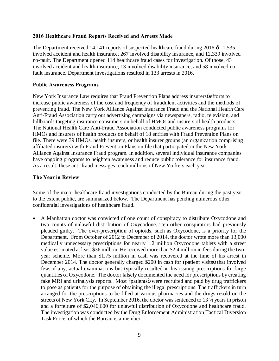## <span id="page-8-0"></span> **2016 Healthcare Fraud Reports Received and Arrests Made**

The Department received 14,141 reports of suspected healthcare fraud during  $2016 \hat{o}$  1,535 involved accident and health insurance, 267 involved disability insurance, and 12,339 involved no-fault. The Department opened 114 healthcare fraud cases for investigation. Of those, 43 involved accident and health insurance, 13 involved disability insurance, and 58 involved no-fault insurance. Department investigations resulted in 133 arrests in 2016.

## **Public Awareness Programs**

New York Insurance Law requires that Fraud Prevention Plans address insurersøefforts to increase public awareness of the cost and frequency of fraudulent activities and the methods of preventing fraud. The New York Alliance Against Insurance Fraud and the National Health Care Anti-Fraud Association carry out advertising campaigns via newspapers, radio, television, and billboards targeting insurance consumers on behalf of HMOs and insurers of health products. The National Health Care Anti-Fraud Association conducted public awareness programs for HMOs and insurers of health products on behalf of 18 entities with Fraud Prevention Plans on file. There were 39 HMOs, health insurers, or health insurer groups (an organization comprising affiliated insurers) with Fraud Prevention Plans on file that participated in the New York Alliance Against Insurance Fraud program. In addition, several individual insurance companies have ongoing programs to heighten awareness and reduce public tolerance for insurance fraud. As a result, these anti-fraud messages reach millions of New Yorkers each year.

## **The Year in Review**

 Some of the major healthcare fraud investigations conducted by the Bureau during the past year, to the extent public, are summarized below. The Department has pending numerous other confidential investigations of healthcare fraud.

 • A Manhattan doctor was convicted of one count of conspiracy to distribute Oxycodone and two counts of unlawful distribution of Oxycodone. Ten other conspirators had previously pleaded guilty. The over-prescription of opioids, such as Oxycodone, is a priority for the Department. From October of 2012 to December of 2014, the doctor wrote more than 13,000 medically unnecessary prescriptions for nearly 1.2 million Oxycodone tablets with a street value estimated at least \$36 million. He received more than \$2.4 million in fees during the two- year scheme. More than \$1.75 million in cash was recovered at the time of his arrest in December 2014. The doctor generally charged \$200 in cash for õpatient visitsö that involved few, if any, actual examinations but typically resulted in his issuing prescriptions for large quantities of Oxycodone. The doctor falsely documented the need for prescriptions by creating fake MRI and urinalysis reports. Most õpatientsö were recruited and paid by drug traffickers to pose as patients for the purpose of obtaining the illegal prescriptions. The traffickers in turn arranged for the prescriptions to be filled at various pharmacies and the drugs resold on the streets of New York City. In September 2016, the doctor was sentenced to 13 ½ years in prison and a forfeiture of \$2,046,600 for unlawful distribution of Oxycodone and healthcare fraud. The investigation was conducted by the Drug Enforcement Administration Tactical Diversion Task Force, of which the Bureau is a member.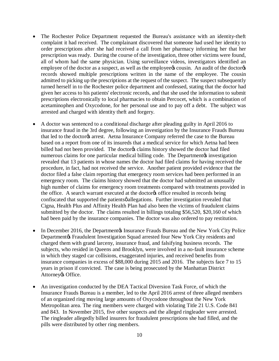- • The Rochester Police Department requested the Bureau's assistance with an identity-theft complaint it had received. The complainant discovered that someone had used her identity to order prescriptions after she had received a call from her pharmacy informing her that her prescription was ready. During the course of the investigation, three other victims were found, all of whom had the same physician. Using surveillance videos, investigators identified an employee of the doctor as a suspect, as well as the employee  $\alpha$  cousin. An audit of the doctor  $\alpha$  records showed multiple prescriptions written in the name of the employee. The cousin admitted to picking up the prescriptions at the request of the suspect. The suspect subsequently turned herself in to the Rochester police department and confessed, stating that the doctor had given her access to his patients' electronic records, and that she used the information to submit prescriptions electronically to local pharmacies to obtain Percocet, which is a combination of acetaminophen and Oxycodone, for her personal use and to pay off a debt. The subject was arrested and charged with identity theft and forgery.
- • A doctor was sentenced to a conditional discharge after pleading guilty in April 2016 to insurance fraud in the 3rd degree, following an investigation by the Insurance Frauds Bureau that led to the doctor a arrest. Aetna Insurance Company referred the case to the Bureau based on a report from one of its insureds that a medical service for which Aetna had been billed had not been provided. The doctor & claims history showed the doctor had filed numerous claims for one particular medical billing code. The Department investigation revealed that 13 patients in whose names the doctor had filed claims for having received the procedure, in fact, had not received the service. Another patient provided evidence that the doctor filed a false claim reporting that emergency room services had been performed in an emergency room. The claims history showed that the doctor had submitted an unusually high number of claims for emergency room treatments compared with treatments provided in the office. A search warrant executed at the doctorys office resulted in records being confiscated that supported the patientsø allegations. Further investigation revealed that Cigna, Health Plus and Affinity Health Plan had also been the victims of fraudulent claims submitted by the doctor. The claims resulted in billings totaling \$56,520, \$20,160 of which had been paid by the insurance companies. The doctor was also ordered to pay restitution.
- In December 2016, the Department & Insurance Frauds Bureau and the New York City Police Departmentøs Fraudulent Investigation Squad arrested four New York City residents and charged them with grand larceny, insurance fraud, and falsifying business records. The subjects, who resided in Queens and Brooklyn, were involved in a no-fault insurance scheme in which they staged car collisions, exaggerated injuries, and received benefits from insurance companies in excess of \$88,000 during 2015 and 2016. The subjects face 7 to 15 years in prison if convicted. The case is being prosecuted by the Manhattan District Attorney & Office.
- • An investigation conducted by the DEA Tactical Diversion Task Force, of which the Insurance Frauds Bureau is a member, led to the April 2016 arrest of three alleged members of an organized ring moving large amounts of Oxycodone throughout the New York Metropolitan area. The ring members were charged with violating Title 21 U.S. Code 841 and 843. In November 2015, five other suspects and the alleged ringleader were arrested. The ringleader allegedly billed insurers for fraudulent prescriptions she had filled, and the pills were distributed by other ring members.